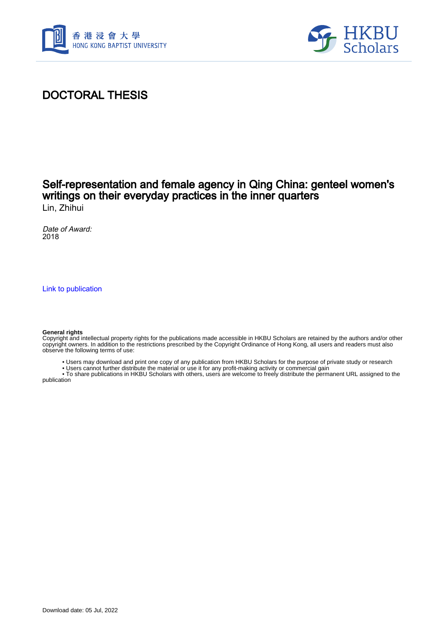



## DOCTORAL THESIS

# Self-representation and female agency in Qing China: genteel women's writings on their everyday practices in the inner quarters

Lin, Zhihui

Date of Award: 2018

[Link to publication](https://scholars.hkbu.edu.hk/en/studentTheses/38d7379b-158f-44f5-a577-47443039ffef)

#### **General rights**

Copyright and intellectual property rights for the publications made accessible in HKBU Scholars are retained by the authors and/or other copyright owners. In addition to the restrictions prescribed by the Copyright Ordinance of Hong Kong, all users and readers must also observe the following terms of use:

- Users may download and print one copy of any publication from HKBU Scholars for the purpose of private study or research
- Users cannot further distribute the material or use it for any profit-making activity or commercial gain

 • To share publications in HKBU Scholars with others, users are welcome to freely distribute the permanent URL assigned to the publication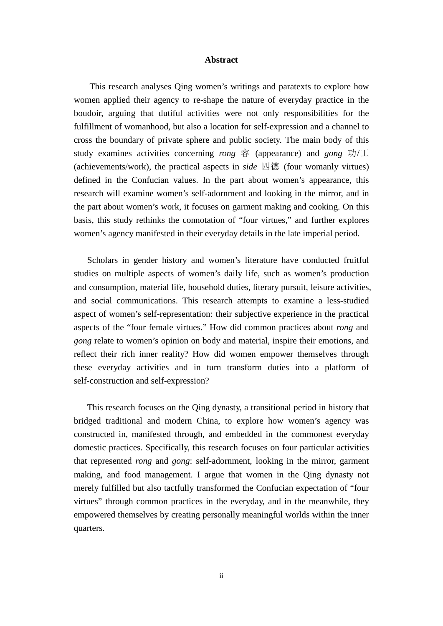### **Abstract**

<span id="page-1-0"></span>This research analyses Qing women's writings and paratexts to explore how women applied their agency to re-shape the nature of everyday practice in the boudoir, arguing that dutiful activities were not only responsibilities for the fulfillment of womanhood, but also a location for self-expression and a channel to cross the boundary of private sphere and public society. The main body of this study examines activities concerning *rong* 容 (appearance) and *gong* 功/工 (achievements/work), the practical aspects in *side* 四德 (four womanly virtues) defined in the Confucian values. In the part about women's appearance, this research will examine women's self-adornment and looking in the mirror, and in the part about women's work, it focuses on garment making and cooking. On this basis, this study rethinks the connotation of "four virtues," and further explores women's agency manifested in their everyday details in the late imperial period.

Scholars in gender history and women's literature have conducted fruitful studies on multiple aspects of women's daily life, such as women's production and consumption, material life, household duties, literary pursuit, leisure activities, and social communications. This research attempts to examine a less-studied aspect of women's self-representation: their subjective experience in the practical aspects of the "four female virtues." How did common practices about *rong* and *gong* relate to women's opinion on body and material, inspire their emotions, and reflect their rich inner reality? How did women empower themselves through these everyday activities and in turn transform duties into a platform of self-construction and self-expression?

This research focuses on the Qing dynasty, a transitional period in history that bridged traditional and modern China, to explore how women's agency was constructed in, manifested through, and embedded in the commonest everyday domestic practices. Specifically, this research focuses on four particular activities that represented *rong* and *gong*: self-adornment, looking in the mirror, garment making, and food management. I argue that women in the Qing dynasty not merely fulfilled but also tactfully transformed the Confucian expectation of "four virtues" through common practices in the everyday, and in the meanwhile, they empowered themselves by creating personally meaningful worlds within the inner quarters.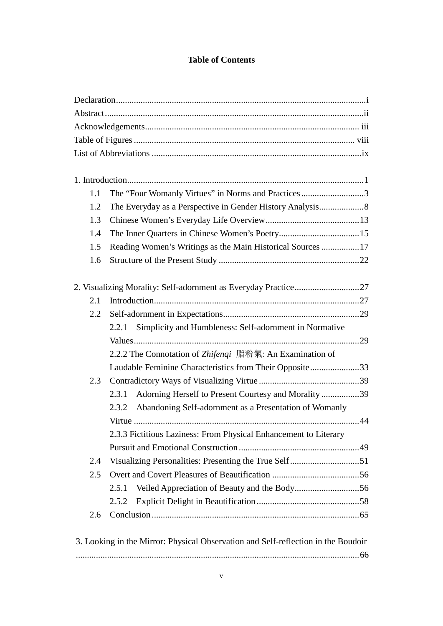### **Table of Contents**

| 1.1 | The "Four Womanly Virtues" in Norms and Practices3                                |  |
|-----|-----------------------------------------------------------------------------------|--|
| 1.2 |                                                                                   |  |
| 1.3 |                                                                                   |  |
| 1.4 |                                                                                   |  |
| 1.5 | Reading Women's Writings as the Main Historical Sources 17                        |  |
| 1.6 |                                                                                   |  |
|     |                                                                                   |  |
| 2.1 |                                                                                   |  |
| 2.2 |                                                                                   |  |
|     |                                                                                   |  |
|     | 2.2.1 Simplicity and Humbleness: Self-adornment in Normative                      |  |
|     | 2.2.2 The Connotation of Zhifenqi 脂粉氣: An Examination of                          |  |
|     |                                                                                   |  |
| 2.3 | Laudable Feminine Characteristics from Their Opposite33                           |  |
|     |                                                                                   |  |
|     | Adorning Herself to Present Courtesy and Morality 39<br>2.3.1                     |  |
|     | Abandoning Self-adornment as a Presentation of Womanly<br>2.3.2                   |  |
|     |                                                                                   |  |
|     | 2.3.3 Fictitious Laziness: From Physical Enhancement to Literary                  |  |
|     |                                                                                   |  |
| 2.4 | Visualizing Personalities: Presenting the True Self51                             |  |
| 2.5 |                                                                                   |  |
|     | 2.5.1                                                                             |  |
|     | 2.5.2                                                                             |  |
| 2.6 |                                                                                   |  |
|     | 3. Looking in the Mirror: Physical Observation and Self-reflection in the Boudoir |  |
|     |                                                                                   |  |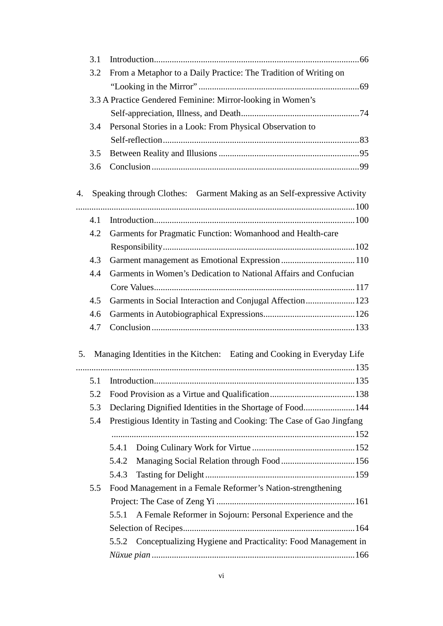|    | 3.1                                                         |                                                                         |  |  |  |
|----|-------------------------------------------------------------|-------------------------------------------------------------------------|--|--|--|
|    | 3.2                                                         | From a Metaphor to a Daily Practice: The Tradition of Writing on        |  |  |  |
|    |                                                             |                                                                         |  |  |  |
|    | 3.3 A Practice Gendered Feminine: Mirror-looking in Women's |                                                                         |  |  |  |
|    |                                                             |                                                                         |  |  |  |
|    | 3.4                                                         | Personal Stories in a Look: From Physical Observation to                |  |  |  |
|    |                                                             |                                                                         |  |  |  |
|    | 3.5                                                         |                                                                         |  |  |  |
|    | 3.6                                                         |                                                                         |  |  |  |
| 4. |                                                             | Speaking through Clothes: Garment Making as an Self-expressive Activity |  |  |  |
|    |                                                             |                                                                         |  |  |  |
|    | 4.1                                                         |                                                                         |  |  |  |
|    | 4.2                                                         | Garments for Pragmatic Function: Womanhood and Health-care              |  |  |  |
|    |                                                             |                                                                         |  |  |  |
|    | 4.3                                                         | Garment management as Emotional Expression 110                          |  |  |  |
|    | 4.4                                                         | Garments in Women's Dedication to National Affairs and Confucian        |  |  |  |
|    |                                                             |                                                                         |  |  |  |
|    | 4.5                                                         | Garments in Social Interaction and Conjugal Affection123                |  |  |  |
|    | 4.6                                                         |                                                                         |  |  |  |
|    | 4.7                                                         |                                                                         |  |  |  |
| 5. |                                                             | Managing Identities in the Kitchen: Eating and Cooking in Everyday Life |  |  |  |
|    |                                                             |                                                                         |  |  |  |
|    | 5.1                                                         |                                                                         |  |  |  |
|    | 5.2                                                         |                                                                         |  |  |  |
|    | 5.3                                                         | Declaring Dignified Identities in the Shortage of Food144               |  |  |  |
|    | 5.4                                                         | Prestigious Identity in Tasting and Cooking: The Case of Gao Jingfang   |  |  |  |
|    |                                                             |                                                                         |  |  |  |
|    |                                                             | 5.4.1                                                                   |  |  |  |
|    |                                                             | 5.4.2                                                                   |  |  |  |
|    |                                                             | 5.4.3                                                                   |  |  |  |
|    | 5.5                                                         | Food Management in a Female Reformer's Nation-strengthening             |  |  |  |
|    |                                                             |                                                                         |  |  |  |
|    |                                                             | A Female Reformer in Sojourn: Personal Experience and the<br>5.5.1      |  |  |  |
|    |                                                             |                                                                         |  |  |  |
|    |                                                             | 5.5.2 Conceptualizing Hygiene and Practicality: Food Management in      |  |  |  |
|    |                                                             |                                                                         |  |  |  |